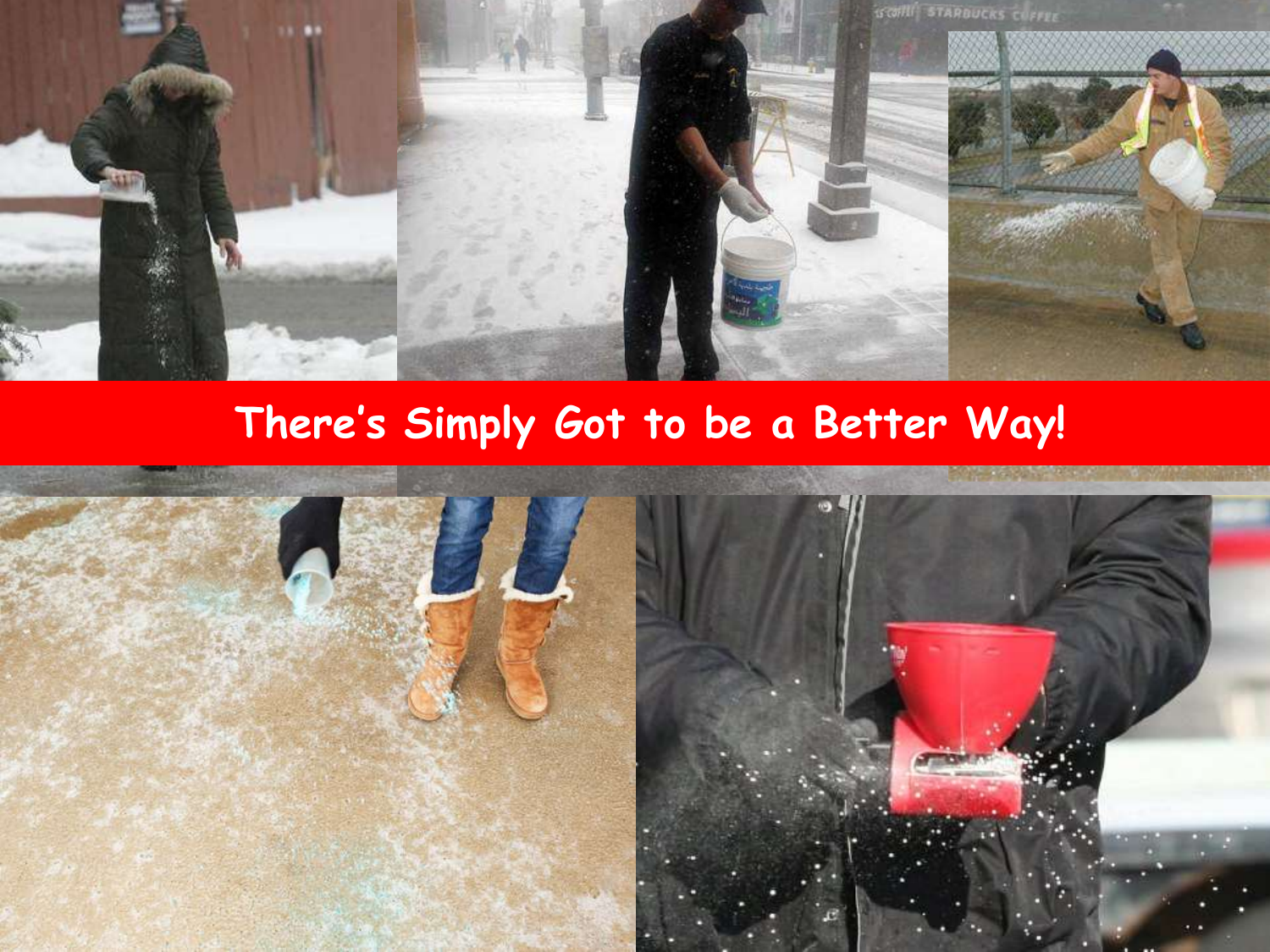

# **There's Simply Got to be a Better Way!**

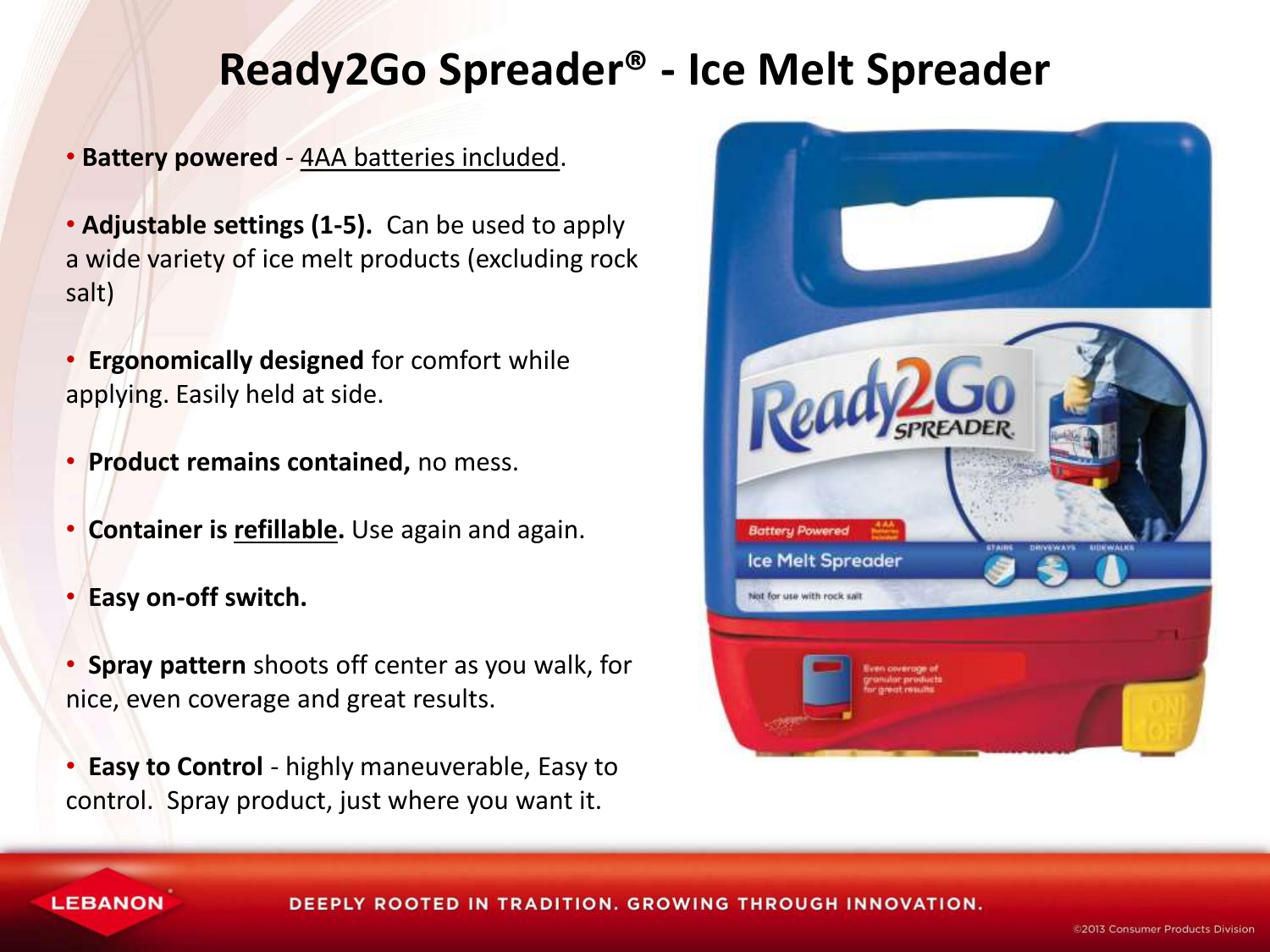# **Ready2Go Spreader® - Ice Melt Spreader**

### • **Battery powered** - 4AA batteries included.

- **Adjustable settings (1-5).** Can be used to apply a wide variety of ice melt products (excluding rock salt)
- • **Ergonomically designed** for comfort while applying. Easily held at side.
- • **Product remains contained,** no mess.
- • **Container is refillable.** Use again and again.
- • **Easy on-off switch.**
- • **Spray pattern** shoots off center as you walk, for nice, even coverage and great results.
- **Easy to Control** highly maneuverable, Easy to control. Spray product, just where you want it.



#### **LEBANON**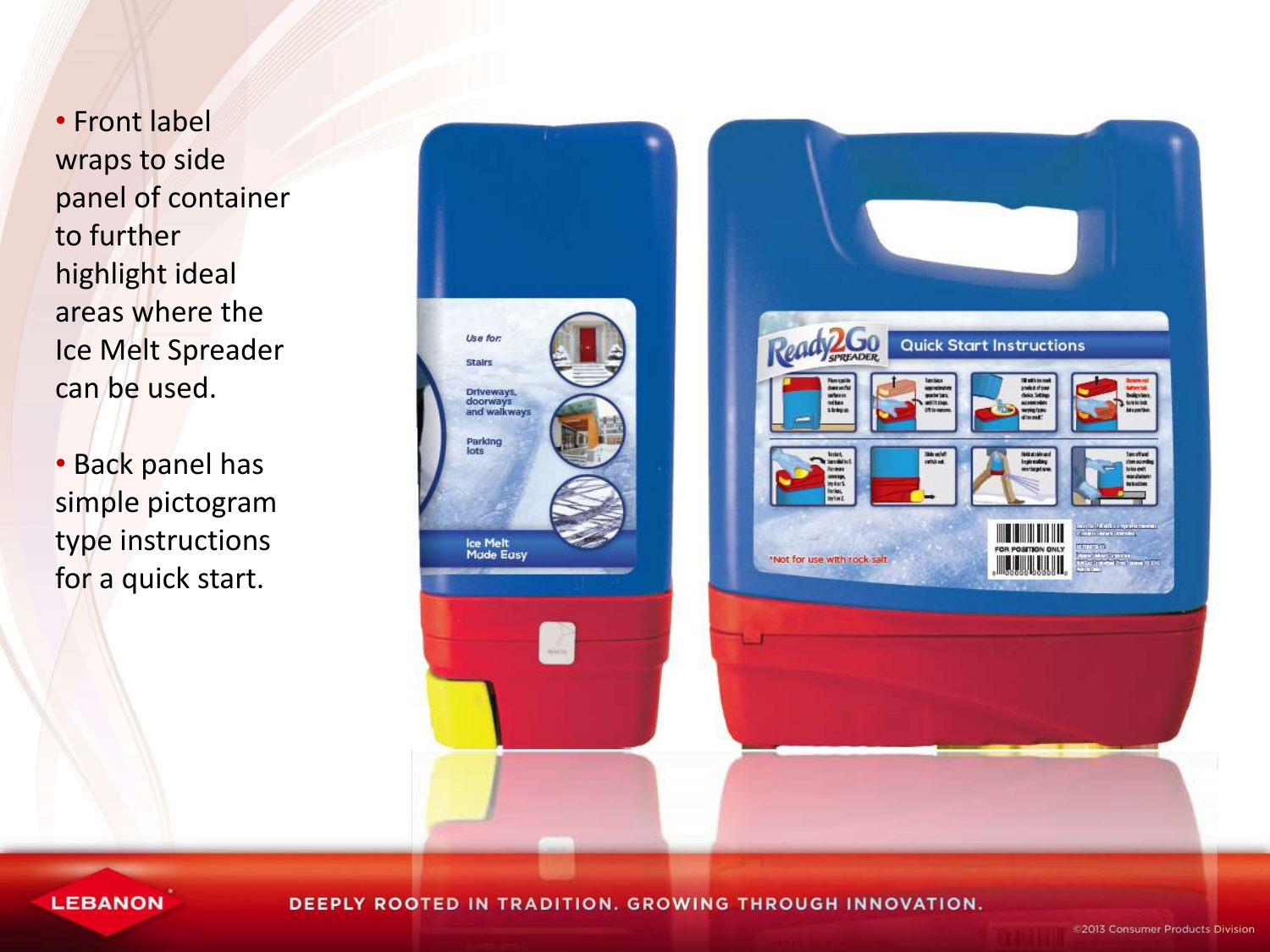• Front label wraps to side panel of container to further highlight ideal areas where the Ice Melt Spreader can be used.

• Back panel has simple pictogram type instructions for a quick start.



**LEBANON**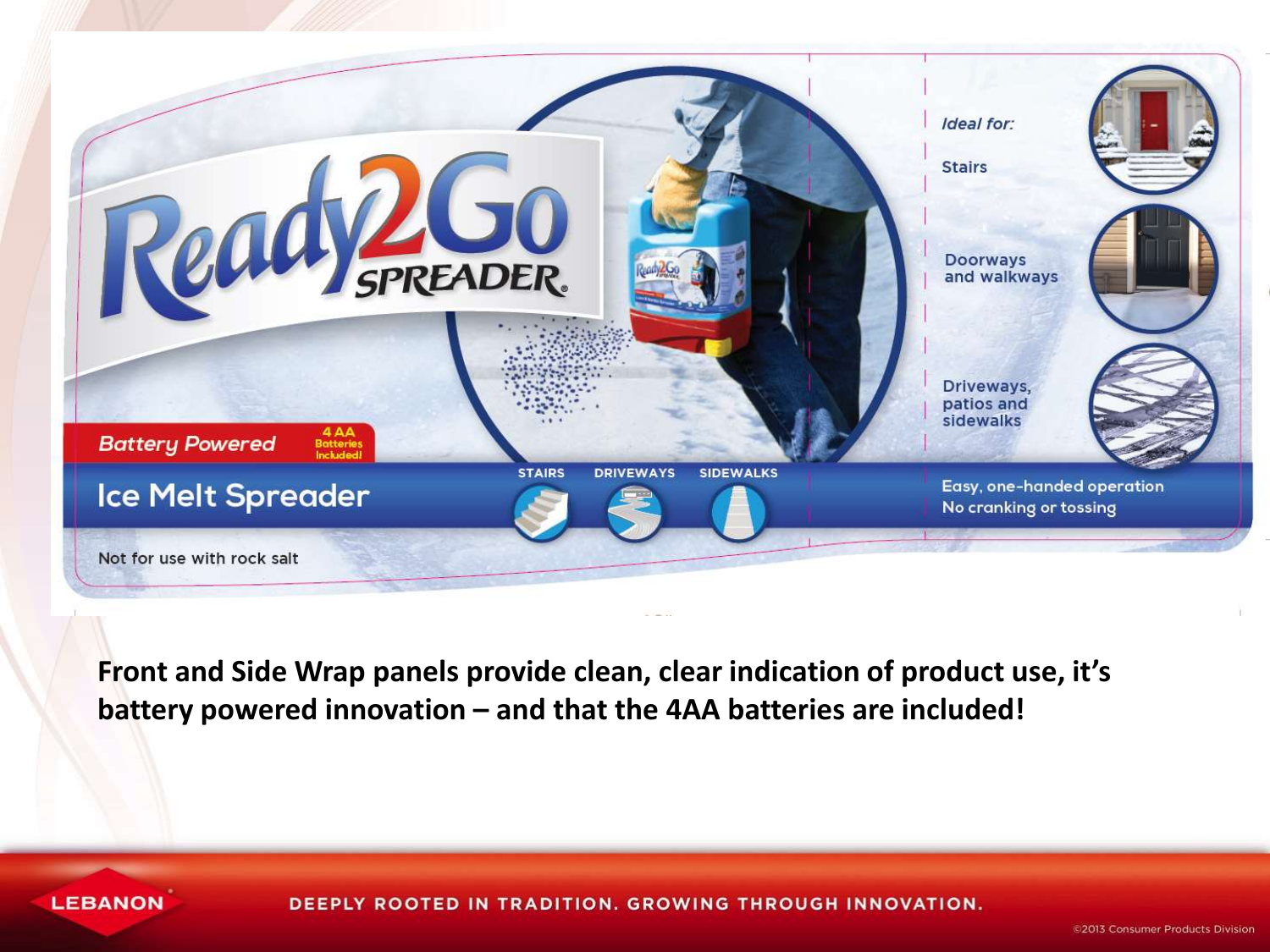

**Front and Side Wrap panels provide clean, clear indication of product use, it's battery powered innovation – and that the 4AA batteries are included!**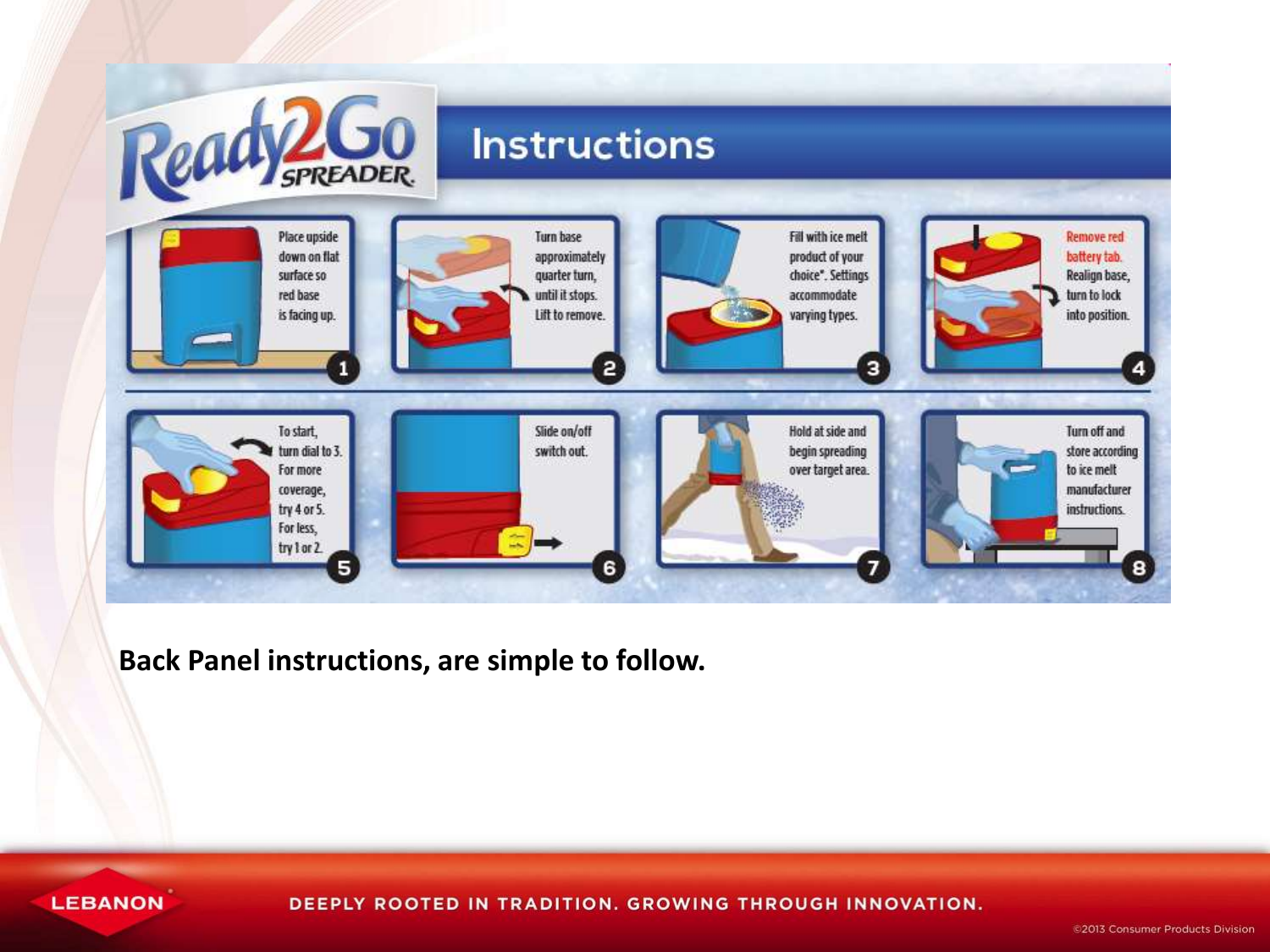

**Back Panel instructions, are simple to follow.**

**LEBANON**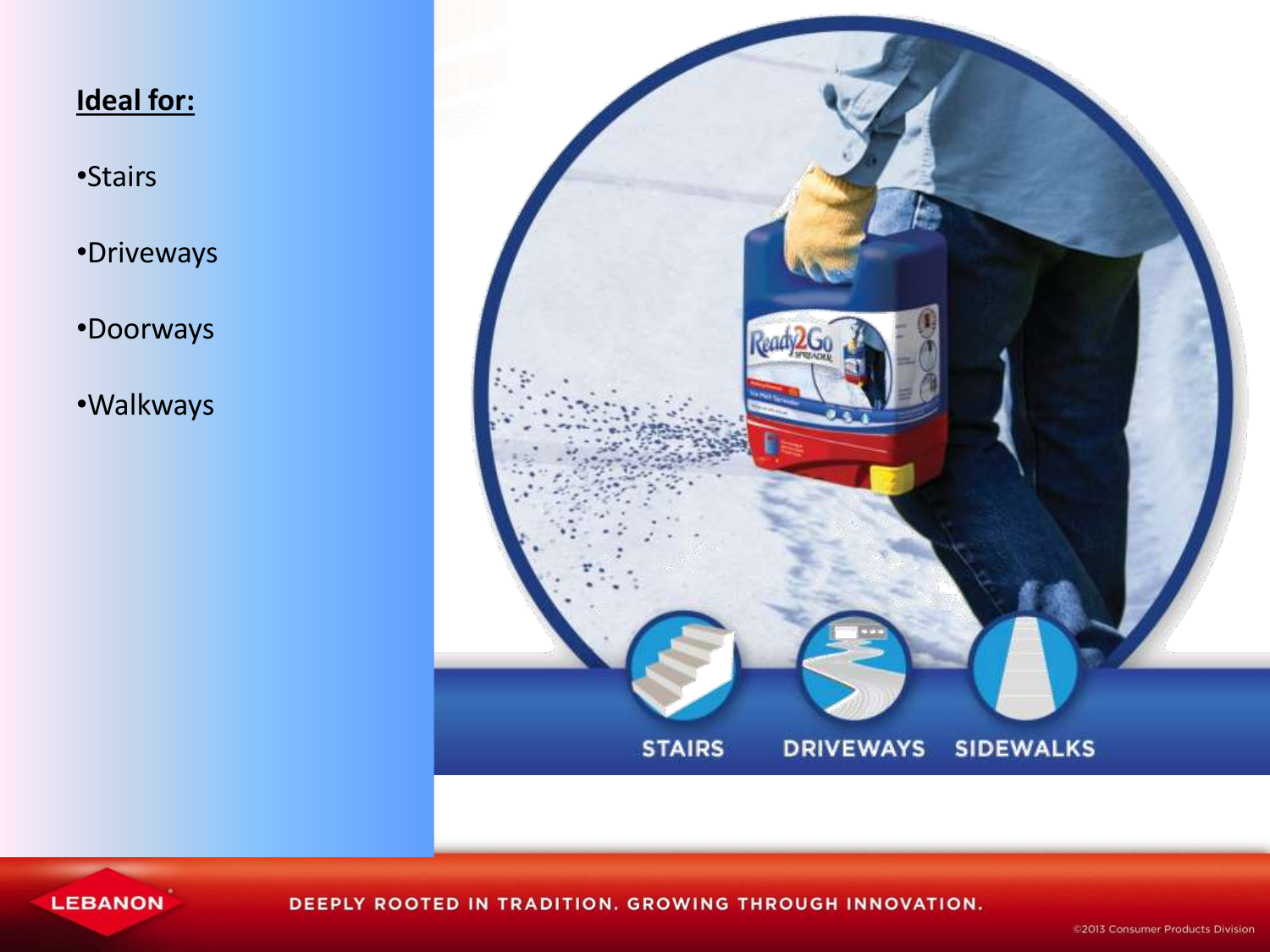## **Ideal for:**

•Stairs

•Driveways

•Doorways

•Walkways



**LEBANON**